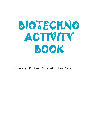

*Compiled by* : EduHeal Foundation, New Delhi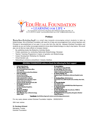

#### **Preface**

Biotechno Activities book is a small step torwards encouraging school students to take up biotechnology. We at EduHeal Foundation still need lot of help and encouragement from school teachers and Principal in accomplishment of our goal. It is you who form the vital link between EduHeal Foundation and students as you can further encourage students to know about biotechnology on a day to day basics. We would also not sit idle but make efforts to increase interest :

- By publishing books like Biotechno Activities Books.
- Create awareness by conducting Nationwide Biotechnology Olympiad.
- Teacher Tranining Programme in basics of genetics and Biotechnology.
- Career Development Workshop for Students.
- Virtual Genetic Lab.
- Networking to enhance school/Govt./ Industry Interface.

#### **EDUHEAL FOUNDATION wishes to thank the following for their support**

- **EduSys Subject Experts**
- **\* Mr. Ram Mohan Rao Former Principal Information officer,**
- **Govt, Of India Information Advisor to the Prime Minister \* Prof. S.S. Mathur**
- **Former Prof. & Head, Centre for Energy Studies, IIT Delhi, Institutional Co-ordinator, United Nations Unversity, Tokyo, Japan Minister, Education & Culture, Embassy of India, Washington DC, USA**
- **\* Mr Ranglal Jamuda, IAS Mr Ranglal Jamuda, Commissioner Kendriya Vidyalaya Sangathan, New Delhi**
- **\* Mr. Pervez Ali Khan NISCAIR, New Delhi**
- **\* Dr. K. Sharma, Dept. of Biotechnology, . Sharma AIIMS, Delhi**
- **\* Dr. Saroj Mishra**
- **Prof. of Biotechnology, IIT, Delhi \* Dr. A.N. Sinha, MS, FAIS, FICS . Sinha Former Consultant Surgeon & Head,**
- **VMMC & Safdarjung Hospital , Delhi \* Dr. Dinkar Bakshi, MD ar Bakshi,**
- **Registrar, Deptt. of Paediatrics, Infirmary Hospital, Leeds, U.K.**
- **\* Dr. Sandeep Dham, MD (Medicine) . Sandeep Dham Clinical Astt. Prof., SUNY Health Centre, Broklyn, New York, USA**
- **\* Dr Saurabh Shukla MD, (AIIMS) Delhi (Presently associated with WHO Pulse Polio Programme)**
- **\* Dr. Rajesh Kaushal MD (AIIMS) Delhi**
- **\* Dr. N.K. Mendiratta. MD, Anaesthesia, VMMC & . Mendiratta Safdarjung Hospital, Delhi**
- **\* Dr. Nagendra P. MS (Orthopedics), Bangalore Medical . College, Bangalore**

**\* Coordinator, South African Agency for science and technology advancement. Coordinator**

For any query please contact Eduheal Foundation helpline : 09350232518

With best wishes

#### **Dr. Sandeep Ahlawat**

Managing Trustee Eduheal Foundation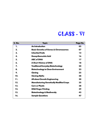# CLASS - VI

| <b>S. No.</b> | <b>Topic</b>                                     | Page No. |
|---------------|--------------------------------------------------|----------|
| 1.            | An Introduction                                  | 05       |
| 2.            | <b>Basic Genetics of Genes &amp; Chromosomes</b> | 07       |
| 3.            | <b>Inherited Traits</b>                          | 12       |
| 4.            | Deoxyribonucleic Acid                            | 16       |
| 5.            | <b>ABC of DNA</b>                                | 17       |
| 6.            | A Short History of DNA                           | 18       |
| 7.            | <b>Traditional Everyday Biotechnology</b>        | 20       |
| 8.            | <b>Biotechnology to Clean Environment</b>        | 23       |
| 9.            | Cloning                                          | 25       |
| 10.           | <b>Cloning Myths</b>                             | 28       |
| 11.           | <b>All about Genetic Engineering</b>             | 30       |
| 12.           | <b>Manufacturing Genetically Modified Crops</b>  | 35       |
| 13.           | <b>Corn or Plastic</b>                           | 38       |
| 14.           | <b>DNA Finger Printing</b>                       | 39       |
| 15.           | <b>Biotechnology &amp; Biodiversity</b>          | 43       |
| 16.           | <b>Sample Questions</b>                          | 47       |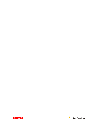

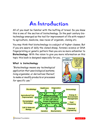# An Introduction

All of you must be familiar with the buffing of bread. Do you know this is one of the section of biotechnology. In the past century biotechnology emerged as the tool for improvement of life with respect to agriculture, medicine, new races of organism, cloning etc.

You may think that biotechnology is a subject of higher classes. But if you are aware of dolly the cloned sheep, forensic science or DNA fingerprinting or genetic pattern then you are no more unfamiliar to **Biotechnology**. With the vision to give you more information on this

topic this book is designed especially for you.

### **What is biotechnology**

"Biotechnology means any technological application that uses biological systems, living organisms, or derivatives thereof, to make or modify products or processes for specific use."





 $\sqrt{\frac{1}{2}}$ Eduheal Foundation Class 6 / 5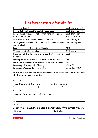## Some historic events in Biotechnology

| buffing of bread                                      | prehistoric period |
|-------------------------------------------------------|--------------------|
| Fermentation of juices to alcoholic beverages         | prehistoric period |
| Knowledge of vinegar formation from fermented juices  | prehistoric period |
| Cultivation of wine                                   | before 2000 BC     |
| Manufacture of beer in Babylonia and Egypt            | 3rd century BC     |
| Wine growing promoted by Roman Emperor Marcus         | 3rd century AD     |
| Aurelius Probus                                       |                    |
| Production of spirits of wine (ethanol)               | 1150               |
| Vinegar manufacturing industry                        | 14th century       |
| Discovery of the fermentation properties of yeast by  | 1818               |
| Erxleben                                              |                    |
| Description of lactic acid fermentation by Pasteur    | 1857               |
| Detection of fermentation enzymes in yeast by Buchner | 1897               |
| Discovery of penicillin by Fleming                    | 1928/29            |
| Discovery of many other antibiotics                   | from about 1945    |

To study biotechnology some information on basic Genetics is required which we deal in next chapter.

Activity :

| Name three food items which are fermented products. |  |  |  |  |
|-----------------------------------------------------|--|--|--|--|
|-----------------------------------------------------|--|--|--|--|

|                                                                                     | $\mathbf{3}$       |
|-------------------------------------------------------------------------------------|--------------------|
| Activity:                                                                           |                    |
| Name any two techniques of biotechnology.                                           |                    |
|                                                                                     |                    |
| 2. $\qquad \qquad$                                                                  |                    |
| Activity:                                                                           |                    |
| Which type of organisms are used in biotechnology ( $\sqrt{ }$ the correct Answer). |                    |
| $\prod$ Living                                                                      | $\prod$ Non Living |

**7 / Class 6 Production 1999** Eduheal Foundation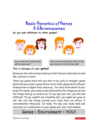## Basic Genetics of Genes & Chromosomes

**Do you look different to other people?**



Do you and your brothers look alike in some way?

Have you ever noticed you look a bit like your mum and a bit like your dad?

### **This is because of your genes!**

Genes are the instructions inside you that tell your body what to look like, and how to work.

There are genes which tell your hair to be curly or straight, genes which tell your body to grow tall (or not so tall!), genes which tell your stomach how to digest food, and so on… for every little detail of your body! Of course, your body is also affected by the things you do and the things that go on around you. If you dye your hair, you will look different. If you couldn't eat a healthy diet, you might not grow as tall. We call the things outside your body that can affect it 'environmental influences'. So really, the way your body looks and functions is a combination of your genes and your environment.

# Genes + Environment = YOU!

 $\sqrt{\frac{1}{2}}$ Eduheal Foundation Class 6 / 7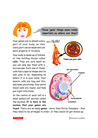**These 'gene' things seem really important…so where are they?**

Your genes are in almost every let's  $\lceil \hat{\Theta} \hat{\Theta} \mathsf{k} \rceil$ part of your body, so that every part can be made and can work properly in its place.

Your body is made up of billions of tiny building blocks called **cells**. They are very small so you can only see them with a microscope. Each one of these cells has a special shape and its own jobs to do, depending on where it is in your body. Your muscle cells are long and thin, and make you strong. Your white blood cells are round, and help you fight infections.

In the centre of each cell is a small walled-off section called the nucleus. **It is here in the nucleus that your genes are**



**found**. There are so many **genes** – more than thirty thousand – that they need to be arranged in order, or they would all get mixed up.



9 / Class 6 **Eduheal Foundation**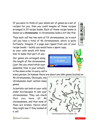If you were to think of your whole set of genes as a set of recipes for you, then you could imagine all these recipes arranged in 23 recipe books. Each of these recipe books is known as a **chromosome**. A chromosome looks a bit like this:

Thus each cell has two sets of 23 chromosomes, so in each cell you have a total of 46 chromosomes, which is quite fortunate. Imagine if a page was ripped from one of your recipe books – luckily you would have a spare copy,

so your cells would still know how to make that part of you.

Our genes are arranged along the length of the chromosome (just like you stand while your assembly time in your school), in the same order in every cell in

every person. In humans there are about one lakh genes located on

46 chromosomes. Obviously, one chromosome must contain many genes.

Scientists can look at your cells under microscopes to see your chromosomes. They can check that you have all 46 chromosomes, and that none of them are broken. Here's what they might see if they looked at a cell.